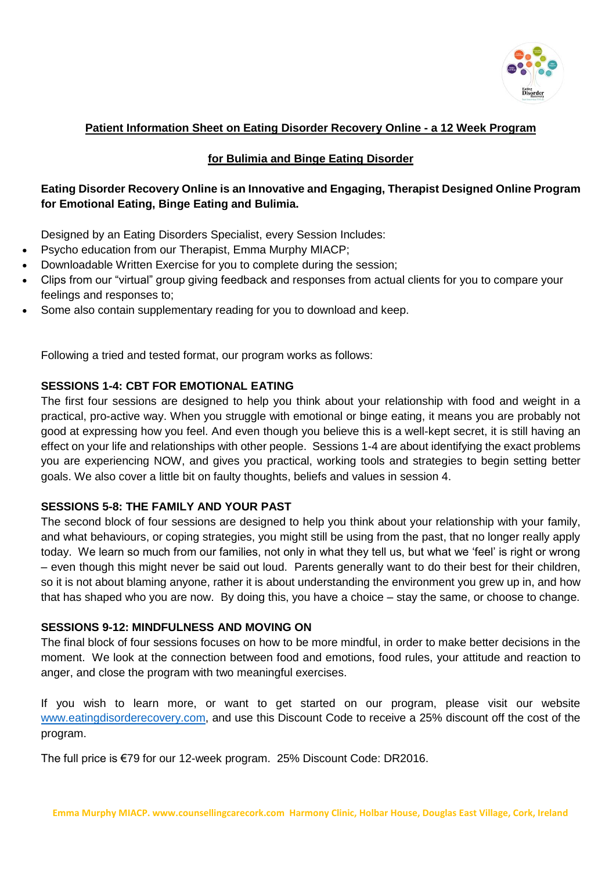

### **Patient Information Sheet on Eating Disorder Recovery Online - a 12 Week Program**

#### **for Bulimia and Binge Eating Disorder**

## **Eating Disorder Recovery Online is an Innovative and Engaging, Therapist Designed Online Program for Emotional Eating, Binge Eating and Bulimia.**

Designed by an Eating Disorders Specialist, every Session Includes:

- Psycho education from our Therapist, Emma Murphy MIACP;
- Downloadable Written Exercise for you to complete during the session;
- Clips from our "virtual" group giving feedback and responses from actual clients for you to compare your feelings and responses to;
- Some also contain supplementary reading for you to download and keep.

Following a tried and tested format, our program works as follows:

#### **SESSIONS 1-4: CBT FOR EMOTIONAL EATING**

The first four sessions are designed to help you think about your relationship with food and weight in a practical, pro-active way. When you struggle with emotional or binge eating, it means you are probably not good at expressing how you feel. And even though you believe this is a well-kept secret, it is still having an effect on your life and relationships with other people. Sessions 1-4 are about identifying the exact problems you are experiencing NOW, and gives you practical, working tools and strategies to begin setting better goals. We also cover a little bit on faulty thoughts, beliefs and values in session 4.

#### **SESSIONS 5-8: THE FAMILY AND YOUR PAST**

The second block of four sessions are designed to help you think about your relationship with your family, and what behaviours, or coping strategies, you might still be using from the past, that no longer really apply today. We learn so much from our families, not only in what they tell us, but what we 'feel' is right or wrong – even though this might never be said out loud. Parents generally want to do their best for their children, so it is not about blaming anyone, rather it is about understanding the environment you grew up in, and how that has shaped who you are now. By doing this, you have a choice – stay the same, or choose to change.

#### **SESSIONS 9-12: MINDFULNESS AND MOVING ON**

The final block of four sessions focuses on how to be more mindful, in order to make better decisions in the moment. We look at the connection between food and emotions, food rules, your attitude and reaction to anger, and close the program with two meaningful exercises.

If you wish to learn more, or want to get started on our program, please visit our website [www.eatingdisorderecovery.com,](http://www.eatingdisorderecovery.com/) and use this Discount Code to receive a 25% discount off the cost of the program.

The full price is €79 for our 12-week program. 25% Discount Code: DR2016.